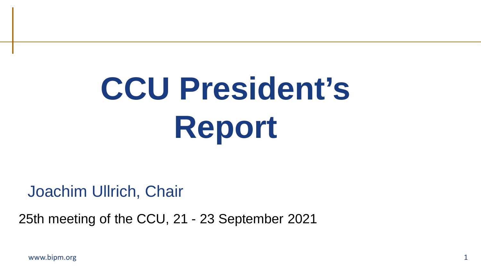# **CCU President's Report**

Joachim Ullrich, Chair

25th meeting of the CCU, 21 - 23 September 2021

www.bipm.org  $1$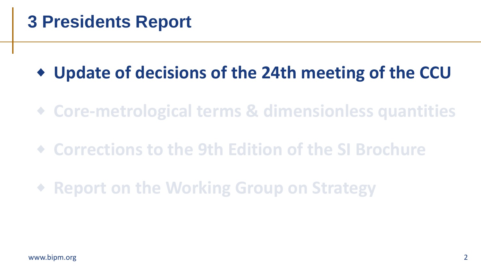#### **3 Presidents Report**

#### **Update of decisions of the 24th meeting of the CCU**

- **Core-metrological terms & dimensionless quantities**
- **Corrections to the 9th Edition of the SI Brochure**
- **Report on the Working Group on Strategy**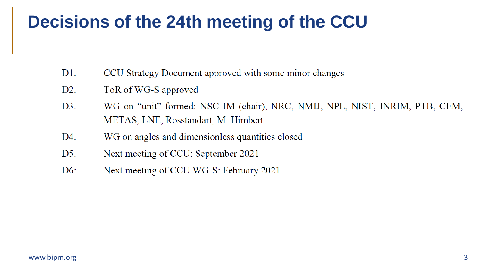#### **Decisions of the 24th meeting of the CCU**

- $D1.$ CCU Strategy Document approved with some minor changes
- $D2.$ ToR of WG-S approved
- WG on "unit" formed: NSC IM (chair), NRC, NMIJ, NPL, NIST, INRIM, PTB, CEM,  $D3.$ METAS, LNE, Rosstandart, M. Himbert
- WG on angles and dimensionless quantities closed D4.
- $D5.$ Next meeting of CCU: September 2021
- $D6$ : Next meeting of CCU WG-S: February 2021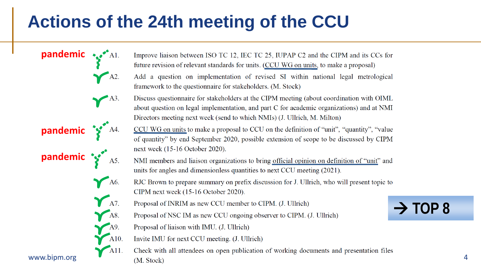#### **Actions of the 24th meeting of the CCU**

- pandemic \*\*\*\*Al. Improve liaison between ISO TC 12, IEC TC 25, IUPAP C2 and the CIPM and its CCs for future revision of relevant standards for units. (CCU WG on units, to make a proposal)  $AA2$ . Add a question on implementation of revised SI within national legal metrological framework to the questionnaire for stakeholders. (M. Stock)  $-$ A3. Discuss questionnaire for stakeholders at the CIPM meeting (about coordination with OIML about question on legal implementation, and part C for academic organizations) and at NMI Directors meeting next week (send to which NMIs) (J. Ullrich, M. Milton) **pandemic** CCU WG on units to make a proposal to CCU on the definition of "unit", "quantity", "value of quantity" by end September 2020, possible extension of scope to be discussed by CIPM **pandemic** next week (15-16 October 2020). NMI members and liaison organizations to bring official opinion on definition of "unit" and units for angles and dimensionless quantities to next CCU meeting (2021).  $A6.$ RJC Brown to prepare summary on prefix discussion for J. Ullrich, who will present topic to CIPM next week (15-16 October 2020).  $\bigwedge$  A7. Proposal of INRIM as new CCU member to CIPM. (J. Ullrich)  $-$ A8. Proposal of NSC IM as new CCU ongoing observer to CIPM. (J. Ullrich) Proposal of liaison with IMU. (J. Ullrich)  $A10.$ Invite IMU for next CCU meeting. (J. Ullrich) A11. Check with all attendees on open publication of working documents and presentation files www.bipm.org (M Stock) 4
	-

 $\rightarrow$  TOP 8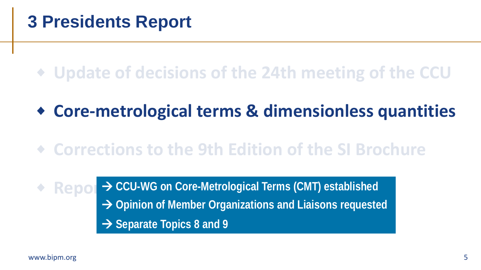#### **Update of decisions of the 24th meeting of the CCU**

#### **Core-metrological terms & dimensionless quantities**

#### **Corrections to the 9th Edition of the SI Brochure**

**Report > CCU-WG on Core-Metrological Terms (CMT) established Opinion of Member Organizations and Liaisons requested → Separate Topics 8 and 9**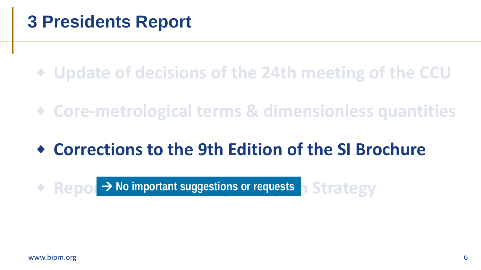**Update of decisions of the 24th meeting of the CCU**

**Core-metrological terms & dimensionless quantities**

### **Corrections to the 9th Edition of the SI Brochure**

**Report > No important suggestions or requests a Strategy**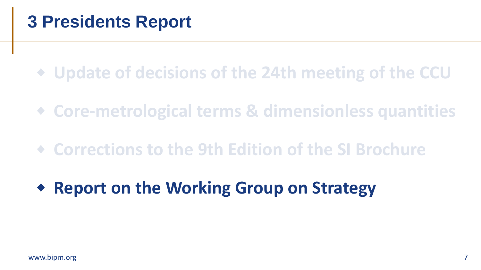**Update of decisions of the 24th meeting of the CCU**

**Core-metrological terms & dimensionless quantities**

**Corrections to the 9th Edition of the SI Brochure**

**Report on the Working Group on Strategy**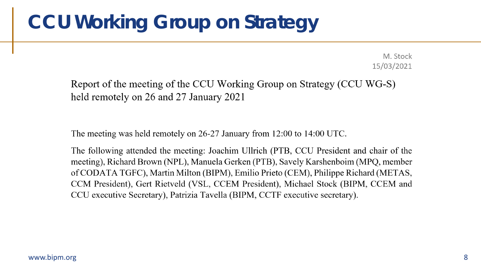M. Stock 15/03/2021

Report of the meeting of the CCU Working Group on Strategy (CCU WG-S) held remotely on 26 and 27 January 2021

The meeting was held remotely on 26-27 January from 12:00 to 14:00 UTC.

The following attended the meeting: Joachim Ullrich (PTB, CCU President and chair of the meeting), Richard Brown (NPL), Manuela Gerken (PTB), Savely Karshenboim (MPQ, member of CODATA TGFC), Martin Milton (BIPM), Emilio Prieto (CEM), Philippe Richard (METAS, CCM President), Gert Rietveld (VSL, CCEM President), Michael Stock (BIPM, CCEM and CCU executive Secretary), Patrizia Tavella (BIPM, CCTF executive secretary).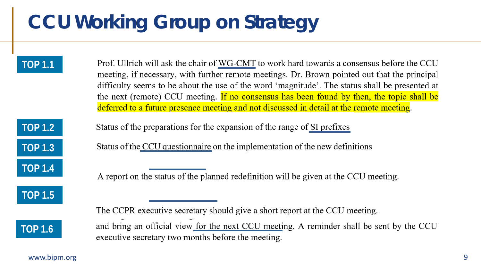**TOP 1.1**  Prof. Ullrich will ask the chair of WG-CMT to work hard towards a consensus before the CCU meeting, if necessary, with further remote meetings. Dr. Brown pointed out that the principal difficulty seems to be about the use of the word 'magnitude'. The status shall be presented at the next (remote) CCU meeting. If no consensus has been found by then, the topic shall be deferred to a future presence meeting and not discussed in detail at the remote meeting.

**TOP 1.2 TOP 1.3** 

**TOP 1.4** 

**TOP 1.5** 

Status of the preparations for the expansion of the range of SI prefixes

Status of the CCU questionnaire on the implementation of the new definitions

A report on the status of the planned redefinition will be given at the CCU meeting.

**TOP 1.6** 

and bring an official view for the next CCU meeting. A reminder shall be sent by the CCU executive secretary two months before the meeting.

www.bipm.org 9

The CCPR executive secretary should give a short report at the CCU meeting.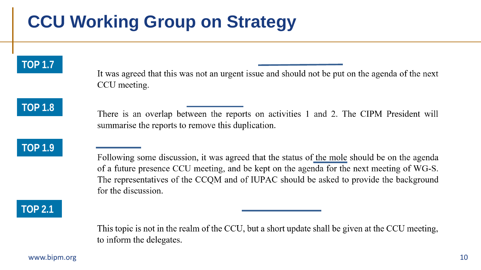#### **TOP 1.7**

It was agreed that this was not an urgent issue and should not be put on the agenda of the next CCU meeting.

**TOP 1.8** 

There is an overlap between the reports on activities 1 and 2. The CIPM President will summarise the reports to remove this duplication.

#### **TOP 1.9**

Following some discussion, it was agreed that the status of the mole should be on the agenda of a future presence CCU meeting, and be kept on the agenda for the next meeting of WG-S. The representatives of the CCQM and of IUPAC should be asked to provide the background for the discussion.

**TOP 2.1** 

This topic is not in the realm of the CCU, but a short update shall be given at the CCU meeting, to inform the delegates.